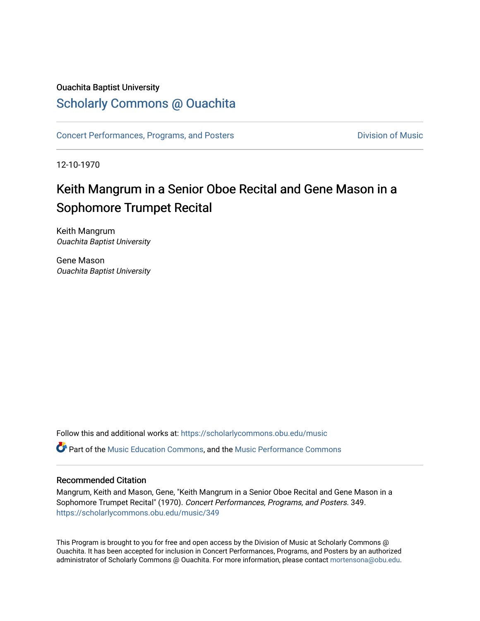### Ouachita Baptist University

### [Scholarly Commons @ Ouachita](https://scholarlycommons.obu.edu/)

[Concert Performances, Programs, and Posters](https://scholarlycommons.obu.edu/music) **Division of Music** Division of Music

12-10-1970

## Keith Mangrum in a Senior Oboe Recital and Gene Mason in a Sophomore Trumpet Recital

Keith Mangrum Ouachita Baptist University

Gene Mason Ouachita Baptist University

Follow this and additional works at: [https://scholarlycommons.obu.edu/music](https://scholarlycommons.obu.edu/music?utm_source=scholarlycommons.obu.edu%2Fmusic%2F349&utm_medium=PDF&utm_campaign=PDFCoverPages)  **C** Part of the [Music Education Commons,](http://network.bepress.com/hgg/discipline/1246?utm_source=scholarlycommons.obu.edu%2Fmusic%2F349&utm_medium=PDF&utm_campaign=PDFCoverPages) and the Music Performance Commons

### Recommended Citation

Mangrum, Keith and Mason, Gene, "Keith Mangrum in a Senior Oboe Recital and Gene Mason in a Sophomore Trumpet Recital" (1970). Concert Performances, Programs, and Posters. 349. [https://scholarlycommons.obu.edu/music/349](https://scholarlycommons.obu.edu/music/349?utm_source=scholarlycommons.obu.edu%2Fmusic%2F349&utm_medium=PDF&utm_campaign=PDFCoverPages) 

This Program is brought to you for free and open access by the Division of Music at Scholarly Commons @ Ouachita. It has been accepted for inclusion in Concert Performances, Programs, and Posters by an authorized administrator of Scholarly Commons @ Ouachita. For more information, please contact [mortensona@obu.edu](mailto:mortensona@obu.edu).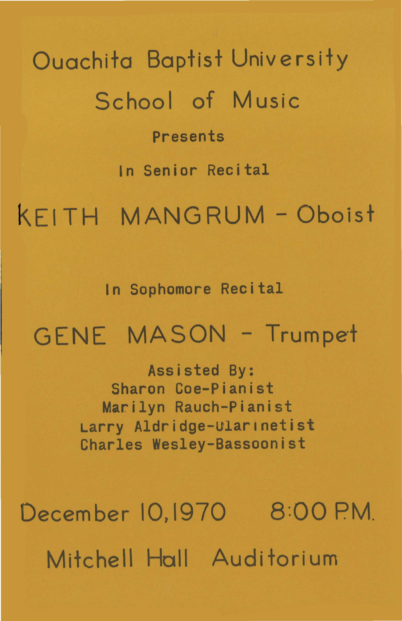Ouachita Baptist University School of Music Presents In Senior Recital kEITH MANGRUM -Oboist

In Sophomore Recital

# GENE MASON - Trumpet

Assisted By: Sharon Coe-Pianist Marilyn Rauch-Pianist Larry Aldridge-ularlnetist Charles Wesley-Bassoonist

December 10,1970 8:00 P.M. Mitchell Hall Auditorium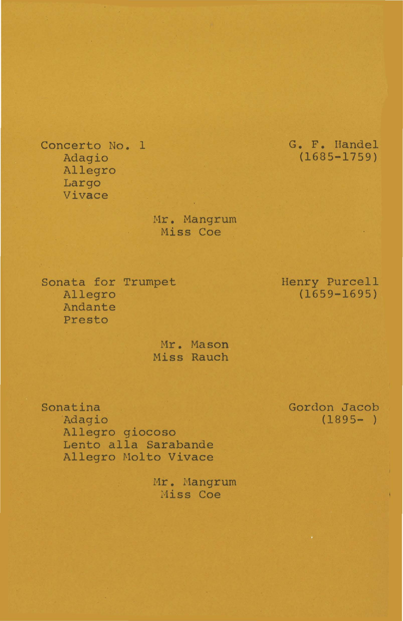Concerto No. 1 Adagio Allegro Largo Vivace

> Hr. Hangrum Miss Coe

Sonata for Trumpet Allegro Andante Presto

> Mr. Mason Miss Rauch

Sonatina Adagio Allegro giocoso Lento alla Sarabande Allegro Molto Vivace

> Mr. Mangrum Miss Coe

Gordon Jacob  $(1895 - )$ 

G. F. Handel (1685-1759)

### Henry Purcell (1659-1695)